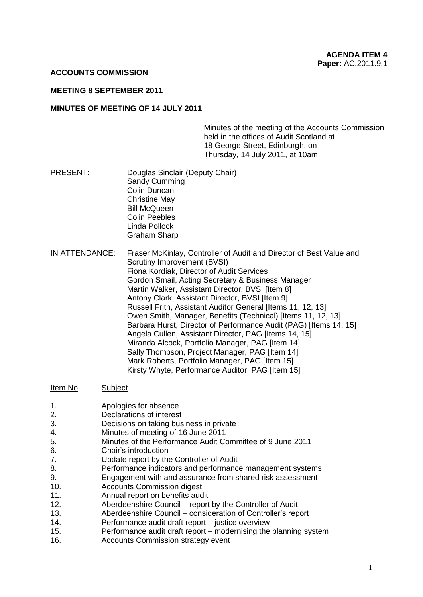## **ACCOUNTS COMMISSION**

# **MEETING 8 SEPTEMBER 2011**

#### **MINUTES OF MEETING OF 14 JULY 2011**

Minutes of the meeting of the Accounts Commission held in the offices of Audit Scotland at 18 George Street, Edinburgh, on Thursday, 14 July 2011, at 10am

- PRESENT: Douglas Sinclair (Deputy Chair) Sandy Cumming Colin Duncan Christine May Bill McQueen Colin Peebles Linda Pollock Graham Sharp
- IN ATTENDANCE: Fraser McKinlay, Controller of Audit and Director of Best Value and Scrutiny Improvement (BVSI) Fiona Kordiak, Director of Audit Services Gordon Smail, Acting Secretary & Business Manager Martin Walker, Assistant Director, BVSI [Item 8] Antony Clark, Assistant Director, BVSI [Item 9] Russell Frith, Assistant Auditor General [Items 11, 12, 13] Owen Smith, Manager, Benefits (Technical) [Items 11, 12, 13] Barbara Hurst, Director of Performance Audit (PAG) [Items 14, 15] Angela Cullen, Assistant Director, PAG [Items 14, 15] Miranda Alcock, Portfolio Manager, PAG [Item 14] Sally Thompson, Project Manager, PAG [Item 14] Mark Roberts, Portfolio Manager, PAG [Item 15] Kirsty Whyte, Performance Auditor, PAG [Item 15]

#### Item No Subject

- 1. Apologies for absence
- 2. Declarations of interest
- 3. Decisions on taking business in private
- 4. Minutes of meeting of 16 June 2011
- 5. Minutes of the Performance Audit Committee of 9 June 2011
- 6. Chair's introduction
- 7. Update report by the Controller of Audit
- 8. Performance indicators and performance management systems
- 9. Engagement with and assurance from shared risk assessment
- 10. Accounts Commission digest
- 11. Annual report on benefits audit
- 12. Aberdeenshire Council report by the Controller of Audit
- 13. Aberdeenshire Council consideration of Controller's report
- 14. Performance audit draft report justice overview
- 15. Performance audit draft report modernising the planning system
- 16. Accounts Commission strategy event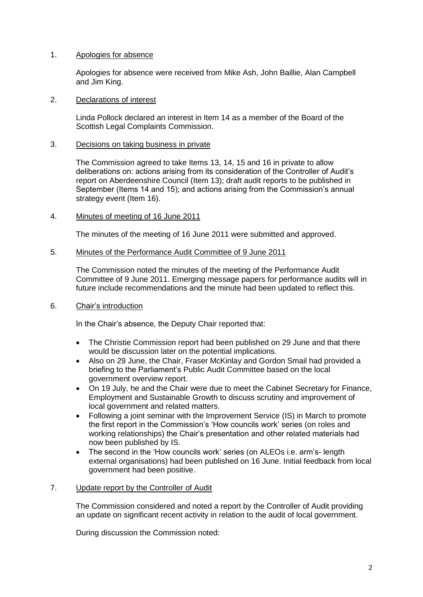# 1. Apologies for absence

Apologies for absence were received from Mike Ash, John Baillie, Alan Campbell and Jim King.

## 2. Declarations of interest

Linda Pollock declared an interest in Item 14 as a member of the Board of the Scottish Legal Complaints Commission.

## 3. Decisions on taking business in private

The Commission agreed to take Items 13, 14, 15 and 16 in private to allow deliberations on: actions arising from its consideration of the Controller of Audit's report on Aberdeenshire Council (Item 13); draft audit reports to be published in September (Items 14 and 15); and actions arising from the Commission's annual strategy event (Item 16).

## 4. Minutes of meeting of 16 June 2011

The minutes of the meeting of 16 June 2011 were submitted and approved.

## 5. Minutes of the Performance Audit Committee of 9 June 2011

The Commission noted the minutes of the meeting of the Performance Audit Committee of 9 June 2011. Emerging message papers for performance audits will in future include recommendations and the minute had been updated to reflect this.

# 6. Chair's introduction

In the Chair's absence, the Deputy Chair reported that:

- The Christie Commission report had been published on 29 June and that there would be discussion later on the potential implications.
- Also on 29 June, the Chair, Fraser McKinlay and Gordon Smail had provided a briefing to the Parliament's Public Audit Committee based on the local government overview report.
- On 19 July, he and the Chair were due to meet the Cabinet Secretary for Finance, Employment and Sustainable Growth to discuss scrutiny and improvement of local government and related matters.
- Following a joint seminar with the Improvement Service (IS) in March to promote the first report in the Commission's 'How councils work' series (on roles and working relationships) the Chair's presentation and other related materials had now been published by IS.
- The second in the 'How councils work' series (on ALEOs i.e. arm's- length external organisations) had been published on 16 June. Initial feedback from local government had been positive.

# 7. Update report by the Controller of Audit

The Commission considered and noted a report by the Controller of Audit providing an update on significant recent activity in relation to the audit of local government.

During discussion the Commission noted: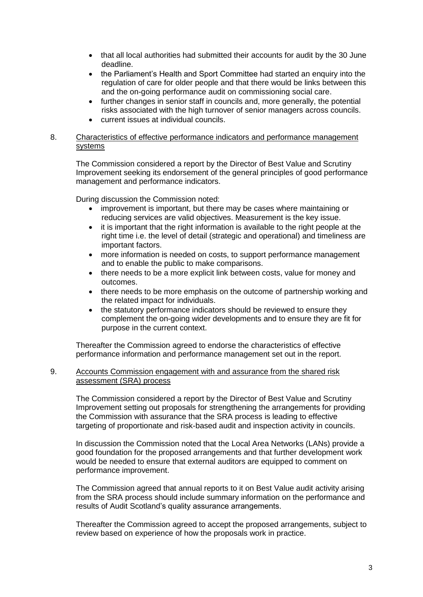- that all local authorities had submitted their accounts for audit by the 30 June deadline.
- the Parliament's Health and Sport Committee had started an enquiry into the regulation of care for older people and that there would be links between this and the on-going performance audit on commissioning social care.
- further changes in senior staff in councils and, more generally, the potential risks associated with the high turnover of senior managers across councils.
- current issues at individual councils.

## 8. Characteristics of effective performance indicators and performance management systems

The Commission considered a report by the Director of Best Value and Scrutiny Improvement seeking its endorsement of the general principles of good performance management and performance indicators.

During discussion the Commission noted:

- improvement is important, but there may be cases where maintaining or reducing services are valid objectives. Measurement is the key issue.
- it is important that the right information is available to the right people at the right time i.e. the level of detail (strategic and operational) and timeliness are important factors.
- more information is needed on costs, to support performance management and to enable the public to make comparisons.
- there needs to be a more explicit link between costs, value for money and outcomes.
- there needs to be more emphasis on the outcome of partnership working and the related impact for individuals.
- the statutory performance indicators should be reviewed to ensure they complement the on-going wider developments and to ensure they are fit for purpose in the current context.

Thereafter the Commission agreed to endorse the characteristics of effective performance information and performance management set out in the report.

# 9. Accounts Commission engagement with and assurance from the shared risk assessment (SRA) process

The Commission considered a report by the Director of Best Value and Scrutiny Improvement setting out proposals for strengthening the arrangements for providing the Commission with assurance that the SRA process is leading to effective targeting of proportionate and risk-based audit and inspection activity in councils.

In discussion the Commission noted that the Local Area Networks (LANs) provide a good foundation for the proposed arrangements and that further development work would be needed to ensure that external auditors are equipped to comment on performance improvement.

The Commission agreed that annual reports to it on Best Value audit activity arising from the SRA process should include summary information on the performance and results of Audit Scotland's quality assurance arrangements.

Thereafter the Commission agreed to accept the proposed arrangements, subject to review based on experience of how the proposals work in practice.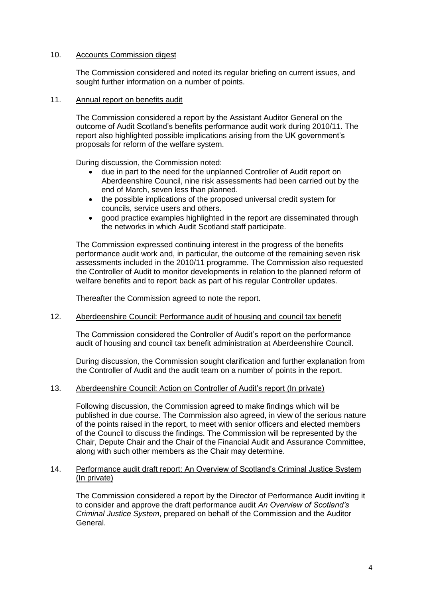# 10. Accounts Commission digest

The Commission considered and noted its regular briefing on current issues, and sought further information on a number of points.

## 11. Annual report on benefits audit

The Commission considered a report by the Assistant Auditor General on the outcome of Audit Scotland's benefits performance audit work during 2010/11. The report also highlighted possible implications arising from the UK government's proposals for reform of the welfare system.

During discussion, the Commission noted:

- due in part to the need for the unplanned Controller of Audit report on Aberdeenshire Council, nine risk assessments had been carried out by the end of March, seven less than planned.
- the possible implications of the proposed universal credit system for councils, service users and others.
- good practice examples highlighted in the report are disseminated through the networks in which Audit Scotland staff participate.

The Commission expressed continuing interest in the progress of the benefits performance audit work and, in particular, the outcome of the remaining seven risk assessments included in the 2010/11 programme. The Commission also requested the Controller of Audit to monitor developments in relation to the planned reform of welfare benefits and to report back as part of his regular Controller updates.

Thereafter the Commission agreed to note the report.

#### 12. Aberdeenshire Council: Performance audit of housing and council tax benefit

The Commission considered the Controller of Audit's report on the performance audit of housing and council tax benefit administration at Aberdeenshire Council.

During discussion, the Commission sought clarification and further explanation from the Controller of Audit and the audit team on a number of points in the report.

# 13. Aberdeenshire Council: Action on Controller of Audit's report (In private)

Following discussion, the Commission agreed to make findings which will be published in due course. The Commission also agreed, in view of the serious nature of the points raised in the report, to meet with senior officers and elected members of the Council to discuss the findings. The Commission will be represented by the Chair, Depute Chair and the Chair of the Financial Audit and Assurance Committee, along with such other members as the Chair may determine.

## 14. Performance audit draft report: An Overview of Scotland's Criminal Justice System (In private)

The Commission considered a report by the Director of Performance Audit inviting it to consider and approve the draft performance audit *An Overview of Scotland's Criminal Justice System*, prepared on behalf of the Commission and the Auditor General.